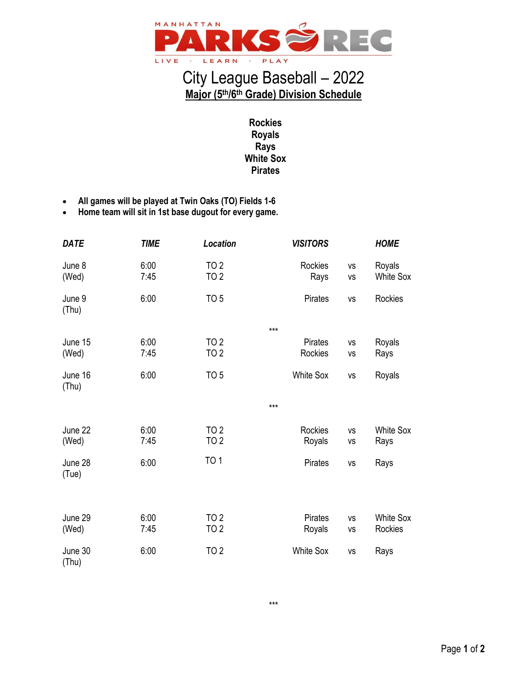

## City League Baseball – 2022 **Major (5 th/6 th Grade) Division Schedule**

**Rockies Royals Rays White Sox Pirates**

- **All games will be played at Twin Oaks (TO) Fields 1-6**
- **Home team will sit in 1st base dugout for every game.**

| <b>DATE</b>      | <b>TIME</b>  | Location                       | <b>VISITORS</b>           |                 | <b>HOME</b>                 |
|------------------|--------------|--------------------------------|---------------------------|-----------------|-----------------------------|
| June 8<br>(Wed)  | 6:00<br>7:45 | <b>TO 2</b><br><b>TO 2</b>     | <b>Rockies</b><br>Rays    | VS<br>VS        | Royals<br><b>White Sox</b>  |
| June 9<br>(Thu)  | 6:00         | TO <sub>5</sub>                | Pirates                   | <b>VS</b>       | Rockies                     |
|                  |              |                                | ***                       |                 |                             |
| June 15<br>(Wed) | 6:00<br>7:45 | TO <sub>2</sub><br><b>TO 2</b> | <b>Pirates</b><br>Rockies | <b>VS</b><br>VS | Royals<br>Rays              |
| June 16<br>(Thu) | 6:00         | TO <sub>5</sub>                | <b>White Sox</b>          | VS              | Royals                      |
|                  |              |                                | $***$                     |                 |                             |
| June 22<br>(Wed) | 6:00<br>7:45 | <b>TO 2</b><br>TO 2            | Rockies<br>Royals         | VS<br>VS        | <b>White Sox</b><br>Rays    |
| June 28<br>(Tue) | 6:00         | <b>TO 1</b>                    | Pirates                   | VS              | Rays                        |
|                  |              |                                |                           |                 |                             |
| June 29<br>(Wed) | 6:00<br>7:45 | TO <sub>2</sub><br><b>TO 2</b> | Pirates<br>Royals         | <b>VS</b><br>VS | <b>White Sox</b><br>Rockies |
| June 30<br>(Thu) | 6:00         | TO 2                           | <b>White Sox</b>          | VS              | Rays                        |